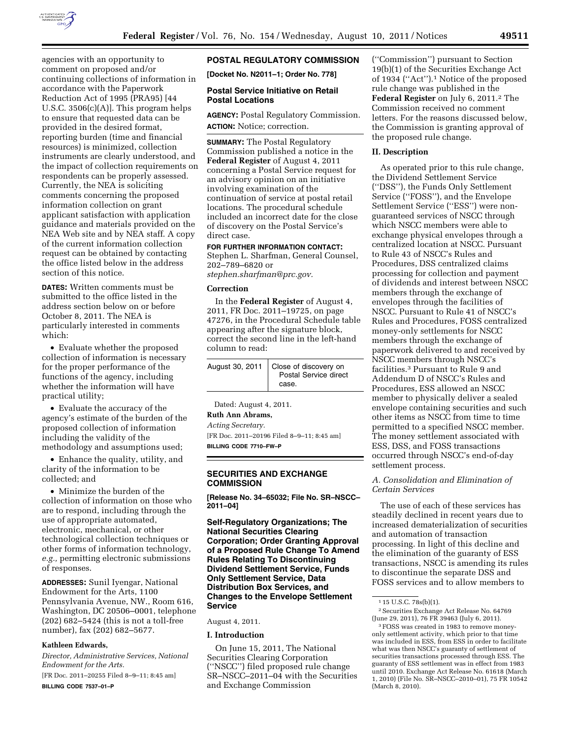

agencies with an opportunity to comment on proposed and/or continuing collections of information in accordance with the Paperwork Reduction Act of 1995 (PRA95) [44 U.S.C. 3506(c)(A)]. This program helps to ensure that requested data can be provided in the desired format, reporting burden (time and financial resources) is minimized, collection instruments are clearly understood, and the impact of collection requirements on respondents can be properly assessed. Currently, the NEA is soliciting comments concerning the proposed information collection on grant applicant satisfaction with application guidance and materials provided on the NEA Web site and by NEA staff. A copy of the current information collection request can be obtained by contacting the office listed below in the address section of this notice.

**DATES:** Written comments must be submitted to the office listed in the address section below on or before October 8, 2011. The NEA is particularly interested in comments which:

• Evaluate whether the proposed collection of information is necessary for the proper performance of the functions of the agency, including whether the information will have practical utility;

• Evaluate the accuracy of the agency's estimate of the burden of the proposed collection of information including the validity of the methodology and assumptions used;

• Enhance the quality, utility, and clarity of the information to be collected; and

• Minimize the burden of the collection of information on those who are to respond, including through the use of appropriate automated, electronic, mechanical, or other technological collection techniques or other forms of information technology, *e.g.,* permitting electronic submissions of responses.

**ADDRESSES:** Sunil Iyengar, National Endowment for the Arts, 1100 Pennsylvania Avenue, NW., Room 616, Washington, DC 20506–0001, telephone (202) 682–5424 (this is not a toll-free number), fax (202) 682–5677.

## **Kathleen Edwards,**

*Director, Administrative Services, National Endowment for the Arts.* 

[FR Doc. 2011–20255 Filed 8–9–11; 8:45 am] **BILLING CODE 7537–01–P** 

# **POSTAL REGULATORY COMMISSION**

**[Docket No. N2011–1; Order No. 778]** 

### **Postal Service Initiative on Retail Postal Locations**

**AGENCY:** Postal Regulatory Commission. **ACTION:** Notice; correction.

**SUMMARY:** The Postal Regulatory Commission published a notice in the **Federal Register** of August 4, 2011 concerning a Postal Service request for an advisory opinion on an initiative involving examination of the continuation of service at postal retail locations. The procedural schedule included an incorrect date for the close of discovery on the Postal Service's direct case.

**FOR FURTHER INFORMATION CONTACT:** 

Stephen L. Sharfman, General Counsel, 202–789–6820 or *stephen.sharfman@prc.gov.* 

#### **Correction**

In the **Federal Register** of August 4, 2011, FR Doc. 2011–19725, on page 47276, in the Procedural Schedule table appearing after the signature block, correct the second line in the left-hand column to read:

| August 30, 2011   Close of discovery on<br>Postal Service direct |
|------------------------------------------------------------------|
| case.                                                            |

Dated: August 4, 2011. **Ruth Ann Abrams,**  *Acting Secretary.* 

[FR Doc. 2011–20196 Filed 8–9–11; 8:45 am] **BILLING CODE 7710–FW–P** 

#### **SECURITIES AND EXCHANGE COMMISSION**

**[Release No. 34–65032; File No. SR–NSCC– 2011–04]** 

**Self-Regulatory Organizations; The National Securities Clearing Corporation; Order Granting Approval of a Proposed Rule Change To Amend Rules Relating To Discontinuing Dividend Settlement Service, Funds Only Settlement Service, Data Distribution Box Services, and Changes to the Envelope Settlement Service** 

### August 4, 2011.

## **I. Introduction**

On June 15, 2011, The National Securities Clearing Corporation (''NSCC'') filed proposed rule change SR–NSCC–2011–04 with the Securities and Exchange Commission

(''Commission'') pursuant to Section 19(b)(1) of the Securities Exchange Act of 1934 (''Act'').1 Notice of the proposed rule change was published in the **Federal Register** on July 6, 2011.<sup>2</sup> The Commission received no comment letters. For the reasons discussed below, the Commission is granting approval of the proposed rule change.

### **II. Description**

As operated prior to this rule change, the Dividend Settlement Service (''DSS''), the Funds Only Settlement Service ("FOSS"), and the Envelope Settlement Service (''ESS'') were nonguaranteed services of NSCC through which NSCC members were able to exchange physical envelopes through a centralized location at NSCC. Pursuant to Rule 43 of NSCC's Rules and Procedures, DSS centralized claims processing for collection and payment of dividends and interest between NSCC members through the exchange of envelopes through the facilities of NSCC. Pursuant to Rule 41 of NSCC's Rules and Procedures, FOSS centralized money-only settlements for NSCC members through the exchange of paperwork delivered to and received by NSCC members through NSCC's facilities.3 Pursuant to Rule 9 and Addendum D of NSCC's Rules and Procedures, ESS allowed an NSCC member to physically deliver a sealed envelope containing securities and such other items as NSCC from time to time permitted to a specified NSCC member. The money settlement associated with ESS, DSS, and FOSS transactions occurred through NSCC's end-of-day settlement process.

## *A. Consolidation and Elimination of Certain Services*

The use of each of these services has steadily declined in recent years due to increased dematerialization of securities and automation of transaction processing. In light of this decline and the elimination of the guaranty of ESS transactions, NSCC is amending its rules to discontinue the separate DSS and FOSS services and to allow members to

<sup>1</sup> 15 U.S.C. 78s(b)(1).

<sup>2</sup>Securities Exchange Act Release No. 64769 (June 29, 2011), 76 FR 39463 (July 6, 2011).

<sup>3</sup>FOSS was created in 1983 to remove moneyonly settlement activity, which prior to that time was included in ESS, from ESS in order to facilitate what was then NSCC's guaranty of settlement of securities transactions processed through ESS. The guaranty of ESS settlement was in effect from 1983 until 2010. Exchange Act Release No. 61618 (March 1, 2010) (File No. SR–NSCC–2010–01), 75 FR 10542 (March 8, 2010).